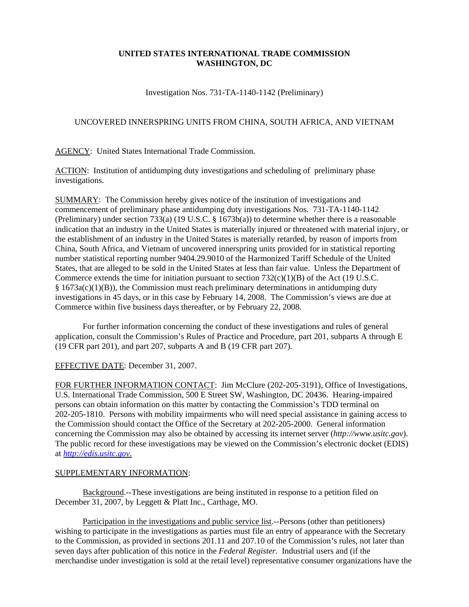## **UNITED STATES INTERNATIONAL TRADE COMMISSION WASHINGTON, DC**

Investigation Nos. 731-TA-1140-1142 (Preliminary)

## UNCOVERED INNERSPRING UNITS FROM CHINA, SOUTH AFRICA, AND VIETNAM

AGENCY: United States International Trade Commission.

ACTION: Institution of antidumping duty investigations and scheduling of preliminary phase investigations.

SUMMARY: The Commission hereby gives notice of the institution of investigations and commencement of preliminary phase antidumping duty investigations Nos. 731-TA-1140-1142 (Preliminary) under section 733(a) (19 U.S.C. § 1673b(a)) to determine whether there is a reasonable indication that an industry in the United States is materially injured or threatened with material injury, or the establishment of an industry in the United States is materially retarded, by reason of imports from China, South Africa, and Vietnam of uncovered innerspring units provided for in statistical reporting number statistical reporting number 9404.29.9010 of the Harmonized Tariff Schedule of the United States, that are alleged to be sold in the United States at less than fair value. Unless the Department of Commerce extends the time for initiation pursuant to section 732(c)(1)(B) of the Act (19 U.S.C.  $§ 1673a(c)(1)(B)$ , the Commission must reach preliminary determinations in antidumping duty investigations in 45 days, or in this case by February 14, 2008. The Commission's views are due at Commerce within five business days thereafter, or by February 22, 2008.

For further information concerning the conduct of these investigations and rules of general application, consult the Commission's Rules of Practice and Procedure, part 201, subparts A through E (19 CFR part 201), and part 207, subparts A and B (19 CFR part 207).

## EFFECTIVE DATE: December 31, 2007.

FOR FURTHER INFORMATION CONTACT: Jim McClure (202-205-3191), Office of Investigations, U.S. International Trade Commission, 500 E Street SW, Washington, DC 20436. Hearing-impaired persons can obtain information on this matter by contacting the Commission's TDD terminal on 202-205-1810. Persons with mobility impairments who will need special assistance in gaining access to the Commission should contact the Office of the Secretary at 202-205-2000. General information concerning the Commission may also be obtained by accessing its internet server (*http://www.usitc.gov*). The public record for these investigations may be viewed on the Commission's electronic docket (EDIS) at *http://edis.usitc.gov*.

## SUPPLEMENTARY INFORMATION:

Background.--These investigations are being instituted in response to a petition filed on December 31, 2007, by Leggett & Platt Inc., Carthage, MO.

Participation in the investigations and public service list.--Persons (other than petitioners) wishing to participate in the investigations as parties must file an entry of appearance with the Secretary to the Commission, as provided in sections 201.11 and 207.10 of the Commission's rules, not later than seven days after publication of this notice in the *Federal Register*. Industrial users and (if the merchandise under investigation is sold at the retail level) representative consumer organizations have the